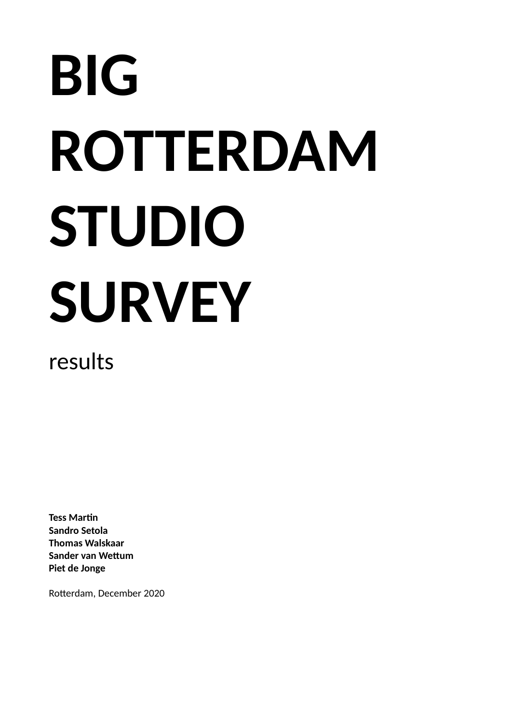# **BIG ROTTERDAM STUDIO SURVEY**

results

**Tess Martin Sandro Setola Thomas Walskaar Sander van Wettum Piet de Jonge**

Rotterdam, December 2020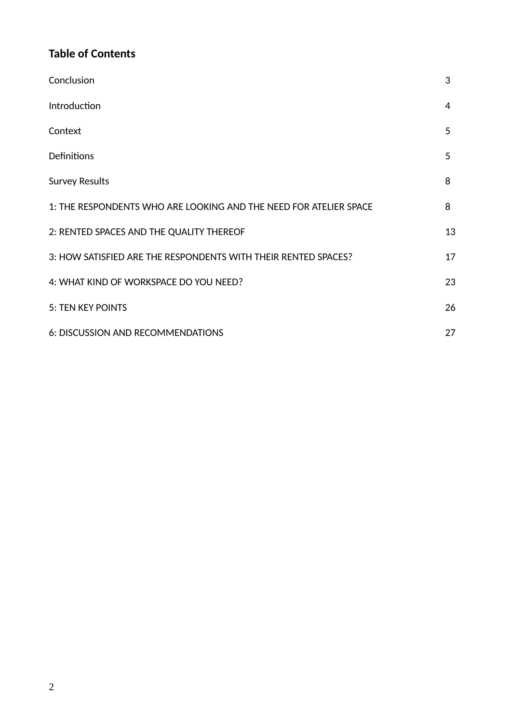# **Table of Contents**

| Conclusion                                                        | 3  |
|-------------------------------------------------------------------|----|
| Introduction                                                      | 4  |
| Context                                                           | 5  |
| Definitions                                                       | 5  |
| <b>Survey Results</b>                                             | 8  |
| 1: THE RESPONDENTS WHO ARE LOOKING AND THE NEED FOR ATELIER SPACE | 8  |
| 2: RENTED SPACES AND THE QUALITY THEREOF                          | 13 |
| 3: HOW SATISFIED ARE THE RESPONDENTS WITH THEIR RENTED SPACES?    | 17 |
| 4: WHAT KIND OF WORKSPACE DO YOU NEED?                            | 23 |
| <b>5: TEN KEY POINTS</b>                                          | 26 |
| 6: DISCUSSION AND RECOMMENDATIONS                                 | 27 |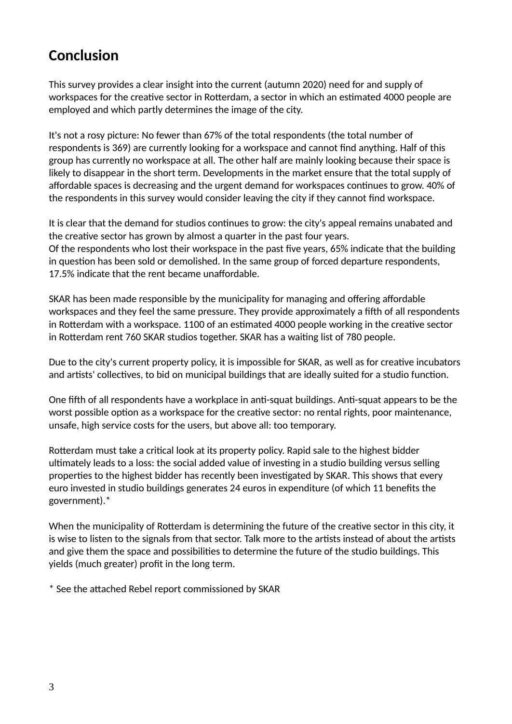# **Conclusion**

This survey provides a clear insight into the current (autumn 2020) need for and supply of workspaces for the creative sector in Rotterdam, a sector in which an estimated 4000 people are employed and which partly determines the image of the city.

It's not a rosy picture: No fewer than 67% of the total respondents (the total number of respondents is 369) are currently looking for a workspace and cannot find anything. Half of this group has currently no workspace at all. The other half are mainly looking because their space is likely to disappear in the short term. Developments in the market ensure that the total supply of affordable spaces is decreasing and the urgent demand for workspaces continues to grow. 40% of the respondents in this survey would consider leaving the city if they cannot find workspace.

It is clear that the demand for studios continues to grow: the city's appeal remains unabated and the creative sector has grown by almost a quarter in the past four years. Of the respondents who lost their workspace in the past five years, 65% indicate that the building in question has been sold or demolished. In the same group of forced departure respondents, 17.5% indicate that the rent became unaffordable.

SKAR has been made responsible by the municipality for managing and offering affordable workspaces and they feel the same pressure. They provide approximately a fifth of all respondents in Rotterdam with a workspace. 1100 of an estimated 4000 people working in the creative sector in Rotterdam rent 760 SKAR studios together. SKAR has a waiting list of 780 people.

Due to the city's current property policy, it is impossible for SKAR, as well as for creative incubators and artists' collectives, to bid on municipal buildings that are ideally suited for a studio function.

One fifth of all respondents have a workplace in anti-squat buildings. Anti-squat appears to be the worst possible option as a workspace for the creative sector: no rental rights, poor maintenance, unsafe, high service costs for the users, but above all: too temporary.

Rotterdam must take a critical look at its property policy. Rapid sale to the highest bidder ultimately leads to a loss: the social added value of investing in a studio building versus selling properties to the highest bidder has recently been investigated by SKAR. This shows that every euro invested in studio buildings generates 24 euros in expenditure (of which 11 benefits the government).\*

When the municipality of Rotterdam is determining the future of the creative sector in this city, it is wise to listen to the signals from that sector. Talk more to the artists instead of about the artists and give them the space and possibilities to determine the future of the studio buildings. This yields (much greater) profit in the long term.

\* See the attached Rebel report commissioned by SKAR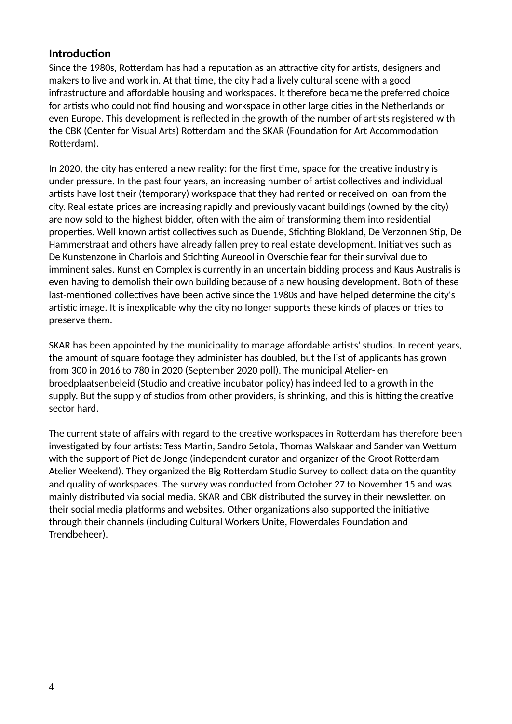#### **Introduction**

Since the 1980s, Rotterdam has had a reputation as an attractive city for artists, designers and makers to live and work in. At that time, the city had a lively cultural scene with a good infrastructure and affordable housing and workspaces. It therefore became the preferred choice for artists who could not find housing and workspace in other large cities in the Netherlands or even Europe. This development is reflected in the growth of the number of artists registered with the CBK (Center for Visual Arts) Rotterdam and the SKAR (Foundation for Art Accommodation Rotterdam).

In 2020, the city has entered a new reality: for the first time, space for the creative industry is under pressure. In the past four years, an increasing number of artist collectives and individual artists have lost their (temporary) workspace that they had rented or received on loan from the city. Real estate prices are increasing rapidly and previously vacant buildings (owned by the city) are now sold to the highest bidder, often with the aim of transforming them into residential properties. Well known artist collectives such as Duende, Stichting Blokland, De Verzonnen Stip, De Hammerstraat and others have already fallen prey to real estate development. Initiatives such as De Kunstenzone in Charlois and Stichting Aureool in Overschie fear for their survival due to imminent sales. Kunst en Complex is currently in an uncertain bidding process and Kaus Australis is even having to demolish their own building because of a new housing development. Both of these last-mentioned collectives have been active since the 1980s and have helped determine the city's artistic image. It is inexplicable why the city no longer supports these kinds of places or tries to preserve them.

SKAR has been appointed by the municipality to manage affordable artists' studios. In recent years, the amount of square footage they administer has doubled, but the list of applicants has grown from 300 in 2016 to 780 in 2020 (September 2020 poll). The municipal Atelier- en broedplaatsenbeleid (Studio and creative incubator policy) has indeed led to a growth in the supply. But the supply of studios from other providers, is shrinking, and this is hitting the creative sector hard.

The current state of affairs with regard to the creative workspaces in Rotterdam has therefore been investigated by four artists: Tess Martin, Sandro Setola, Thomas Walskaar and Sander van Wettum with the support of Piet de Jonge (independent curator and organizer of the Groot Rotterdam Atelier Weekend). They organized the Big Rotterdam Studio Survey to collect data on the quantity and quality of workspaces. The survey was conducted from October 27 to November 15 and was mainly distributed via social media. SKAR and CBK distributed the survey in their newsletter, on their social media platforms and websites. Other organizations also supported the initiative through their channels (including Cultural Workers Unite, Flowerdales Foundation and Trendbeheer).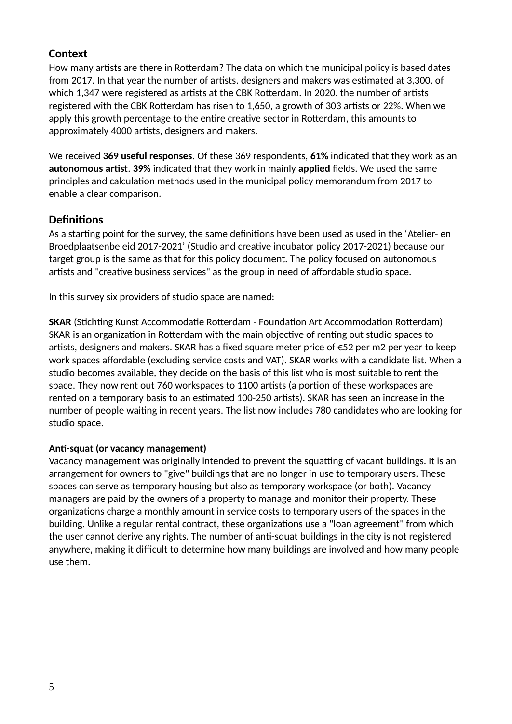#### **Context**

How many artists are there in Rotterdam? The data on which the municipal policy is based dates from 2017. In that year the number of artists, designers and makers was estimated at 3,300, of which 1,347 were registered as artists at the CBK Rotterdam. In 2020, the number of artists registered with the CBK Rotterdam has risen to 1,650, a growth of 303 artists or 22%. When we apply this growth percentage to the entire creative sector in Rotterdam, this amounts to approximately 4000 artists, designers and makers.

We received **369 useful responses**. Of these 369 respondents, **61%** indicated that they work as an **autonomous artist**. **39%** indicated that they work in mainly **applied** fields. We used the same principles and calculation methods used in the municipal policy memorandum from 2017 to enable a clear comparison.

#### **Definitions**

As a starting point for the survey, the same definitions have been used as used in the 'Atelier- en Broedplaatsenbeleid 2017-2021' (Studio and creative incubator policy 2017-2021) because our target group is the same as that for this policy document. The policy focused on autonomous artists and "creative business services" as the group in need of affordable studio space.

In this survey six providers of studio space are named:

**SKAR** (Stichting Kunst Accommodatie Rotterdam - Foundation Art Accommodation Rotterdam) SKAR is an organization in Rotterdam with the main objective of renting out studio spaces to artists, designers and makers. SKAR has a fixed square meter price of €52 per m2 per year to keep work spaces affordable (excluding service costs and VAT). SKAR works with a candidate list. When a studio becomes available, they decide on the basis of this list who is most suitable to rent the space. They now rent out 760 workspaces to 1100 artists (a portion of these workspaces are rented on a temporary basis to an estimated 100-250 artists). SKAR has seen an increase in the number of people waiting in recent years. The list now includes 780 candidates who are looking for studio space.

#### **Anti-squat (or vacancy management)**

Vacancy management was originally intended to prevent the squatting of vacant buildings. It is an arrangement for owners to "give" buildings that are no longer in use to temporary users. These spaces can serve as temporary housing but also as temporary workspace (or both). Vacancy managers are paid by the owners of a property to manage and monitor their property. These organizations charge a monthly amount in service costs to temporary users of the spaces in the building. Unlike a regular rental contract, these organizations use a "loan agreement" from which the user cannot derive any rights. The number of anti-squat buildings in the city is not registered anywhere, making it difficult to determine how many buildings are involved and how many people use them.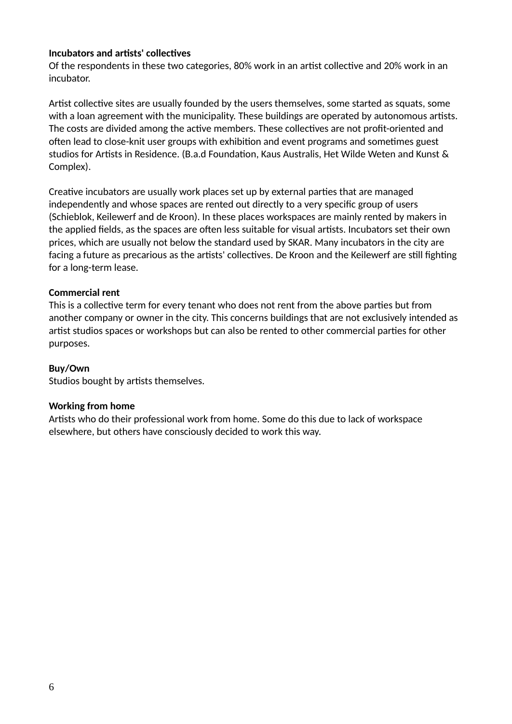#### **Incubators and artists' collectives**

Of the respondents in these two categories, 80% work in an artist collective and 20% work in an incubator.

Artist collective sites are usually founded by the users themselves, some started as squats, some with a loan agreement with the municipality. These buildings are operated by autonomous artists. The costs are divided among the active members. These collectives are not profit-oriented and often lead to close-knit user groups with exhibition and event programs and sometimes guest studios for Artists in Residence. (B.a.d Foundation, Kaus Australis, Het Wilde Weten and Kunst & Complex).

Creative incubators are usually work places set up by external parties that are managed independently and whose spaces are rented out directly to a very specific group of users (Schieblok, Keilewerf and de Kroon). In these places workspaces are mainly rented by makers in the applied fields, as the spaces are often less suitable for visual artists. Incubators set their own prices, which are usually not below the standard used by SKAR. Many incubators in the city are facing a future as precarious as the artists' collectives. De Kroon and the Keilewerf are still fighting for a long-term lease.

#### **Commercial rent**

This is a collective term for every tenant who does not rent from the above parties but from another company or owner in the city. This concerns buildings that are not exclusively intended as artist studios spaces or workshops but can also be rented to other commercial parties for other purposes.

#### **Buy/Own**

Studios bought by artists themselves.

#### **Working from home**

Artists who do their professional work from home. Some do this due to lack of workspace elsewhere, but others have consciously decided to work this way.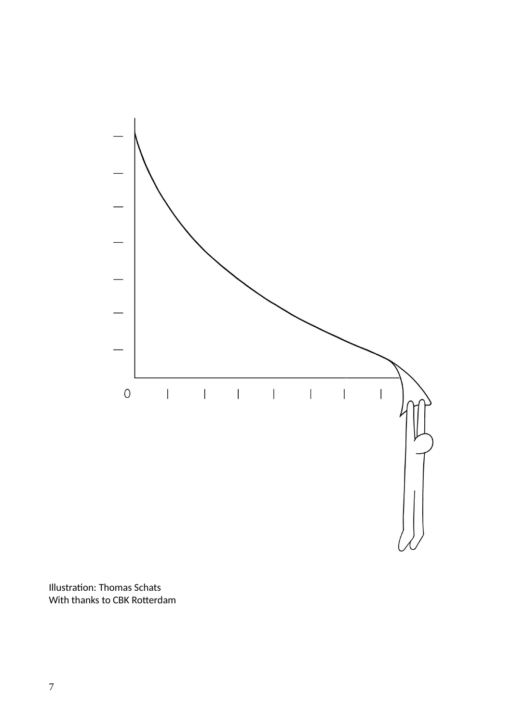

Illustration: Thomas Schats With thanks to CBK Rotterdam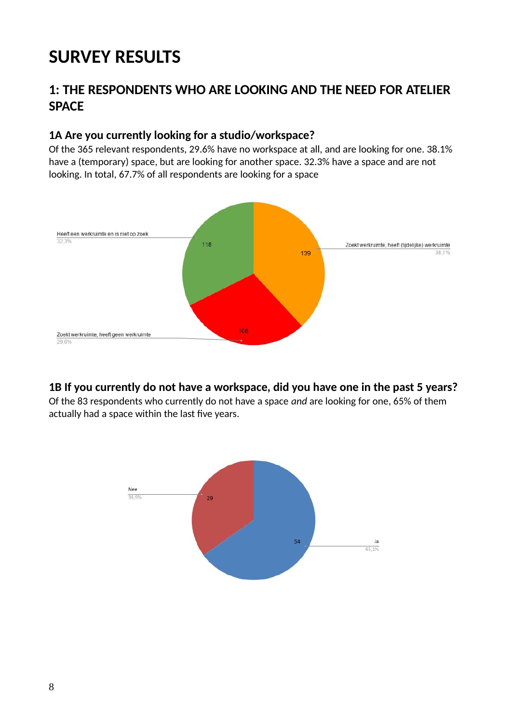# **SURVEY RESULTS**

# **1: THE RESPONDENTS WHO ARE LOOKING AND THE NEED FOR ATELIER SPACE**

#### **1A Are you currently looking for a studio/workspace?**

Of the 365 relevant respondents, 29.6% have no workspace at all, and are looking for one. 38.1% have a (temporary) space, but are looking for another space. 32.3% have a space and are not looking. In total, 67.7% of all respondents are looking for a space



#### **1B If you currently do not have a workspace, did you have one in the past 5 years?**

Of the 83 respondents who currently do not have a space *and* are looking for one, 65% of them actually had a space within the last five years.

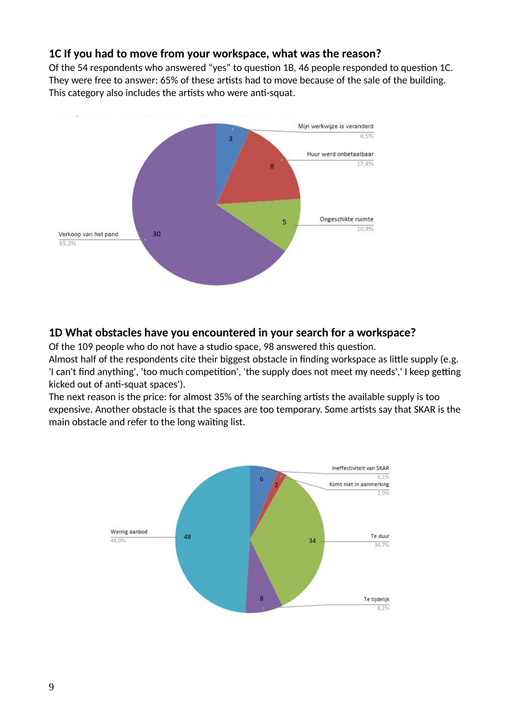#### **1C If you had to move from your workspace, what was the reason?**

Of the 54 respondents who answered "yes" to question 1B, 46 people responded to question 1C. They were free to answer: 65% of these artists had to move because of the sale of the building. This category also includes the artists who were anti-squat.



#### **1D What obstacles have you encountered in your search for a workspace?**

Of the 109 people who do not have a studio space, 98 answered this question.

Almost half of the respondents cite their biggest obstacle in finding workspace as little supply (e.g. 'I can't find anything', 'too much competition', 'the supply does not meet my needs',' I keep getting kicked out of anti-squat spaces').

The next reason is the price: for almost 35% of the searching artists the available supply is too expensive. Another obstacle is that the spaces are too temporary. Some artists say that SKAR is the main obstacle and refer to the long waiting list.

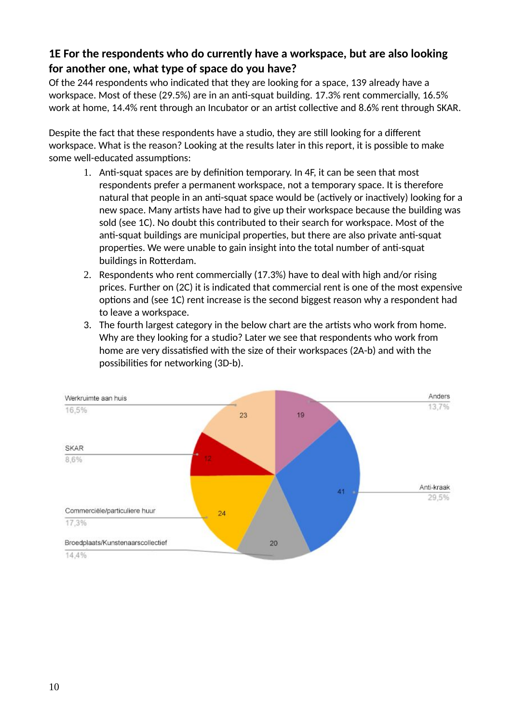#### **1E For the respondents who do currently have a workspace, but are also looking for another one, what type of space do you have?**

Of the 244 respondents who indicated that they are looking for a space, 139 already have a workspace. Most of these (29.5%) are in an anti-squat building. 17.3% rent commercially, 16.5% work at home, 14.4% rent through an Incubator or an artist collective and 8.6% rent through SKAR.

Despite the fact that these respondents have a studio, they are still looking for a different workspace. What is the reason? Looking at the results later in this report, it is possible to make some well-educated assumptions:

- 1. Anti-squat spaces are by definition temporary. In 4F, it can be seen that most respondents prefer a permanent workspace, not a temporary space. It is therefore natural that people in an anti-squat space would be (actively or inactively) looking for a new space. Many artists have had to give up their workspace because the building was sold (see 1C). No doubt this contributed to their search for workspace. Most of the anti-squat buildings are municipal properties, but there are also private anti-squat properties. We were unable to gain insight into the total number of anti-squat buildings in Rotterdam.
- 2. Respondents who rent commercially (17.3%) have to deal with high and/or rising prices. Further on (2C) it is indicated that commercial rent is one of the most expensive options and (see 1C) rent increase is the second biggest reason why a respondent had to leave a workspace.
- 3. The fourth largest category in the below chart are the artists who work from home. Why are they looking for a studio? Later we see that respondents who work from home are very dissatisfied with the size of their workspaces (2A-b) and with the possibilities for networking (3D-b).

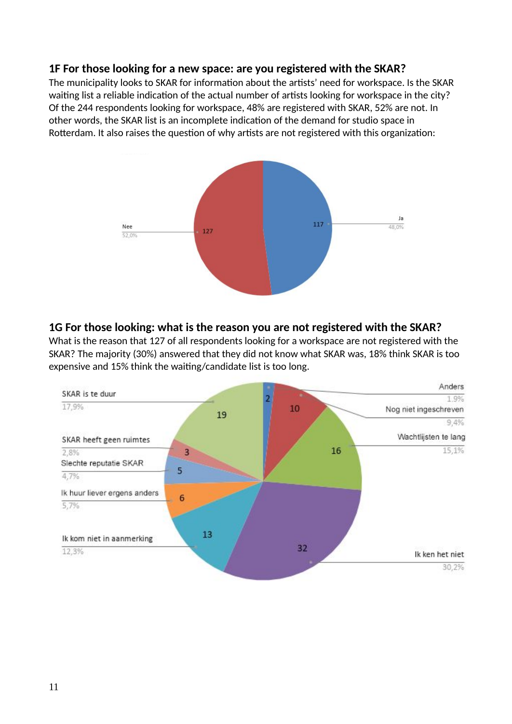#### **1F For those looking for a new space: are you registered with the SKAR?**

The municipality looks to SKAR for information about the artists' need for workspace. Is the SKAR waiting list a reliable indication of the actual number of artists looking for workspace in the city? Of the 244 respondents looking for workspace, 48% are registered with SKAR, 52% are not. In other words, the SKAR list is an incomplete indication of the demand for studio space in Rotterdam. It also raises the question of why artists are not registered with this organization:



#### **1G For those looking: what is the reason you are not registered with the SKAR?**

What is the reason that 127 of all respondents looking for a workspace are not registered with the SKAR? The majority (30%) answered that they did not know what SKAR was, 18% think SKAR is too expensive and 15% think the waiting/candidate list is too long.

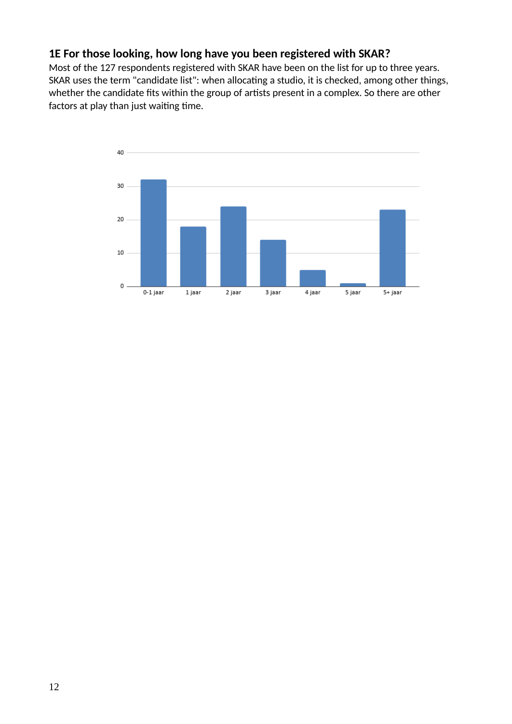#### **1E For those looking, how long have you been registered with SKAR?**

Most of the 127 respondents registered with SKAR have been on the list for up to three years. SKAR uses the term "candidate list": when allocating a studio, it is checked, among other things, whether the candidate fits within the group of artists present in a complex. So there are other factors at play than just waiting time.

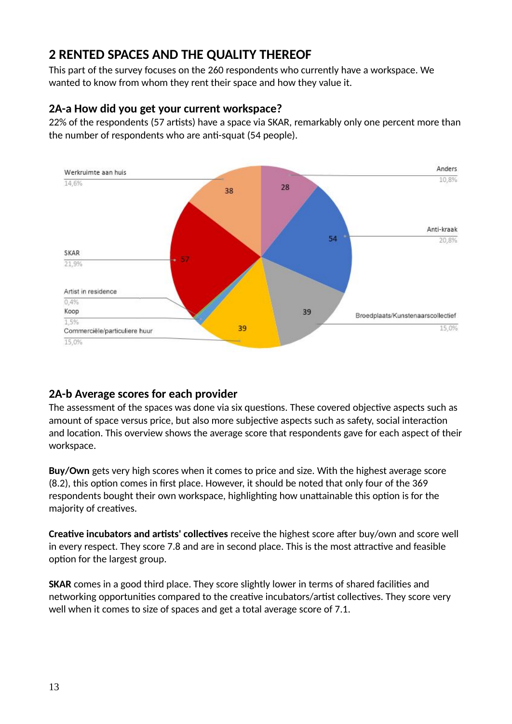# **2 RENTED SPACES AND THE QUALITY THEREOF**

This part of the survey focuses on the 260 respondents who currently have a workspace. We wanted to know from whom they rent their space and how they value it.

#### **2A-a How did you get your current workspace?**

22% of the respondents (57 artists) have a space via SKAR, remarkably only one percent more than the number of respondents who are anti-squat (54 people).



#### **2A-b Average scores for each provider**

The assessment of the spaces was done via six questions. These covered objective aspects such as amount of space versus price, but also more subjective aspects such as safety, social interaction and location. This overview shows the average score that respondents gave for each aspect of their workspace.

**Buy/Own** gets very high scores when it comes to price and size. With the highest average score (8.2), this option comes in first place. However, it should be noted that only four of the 369 respondents bought their own workspace, highlighting how unattainable this option is for the majority of creatives.

**Creative incubators and artists' collectives** receive the highest score after buy/own and score well in every respect. They score 7.8 and are in second place. This is the most attractive and feasible option for the largest group.

**SKAR** comes in a good third place. They score slightly lower in terms of shared facilities and networking opportunities compared to the creative incubators/artist collectives. They score very well when it comes to size of spaces and get a total average score of 7.1.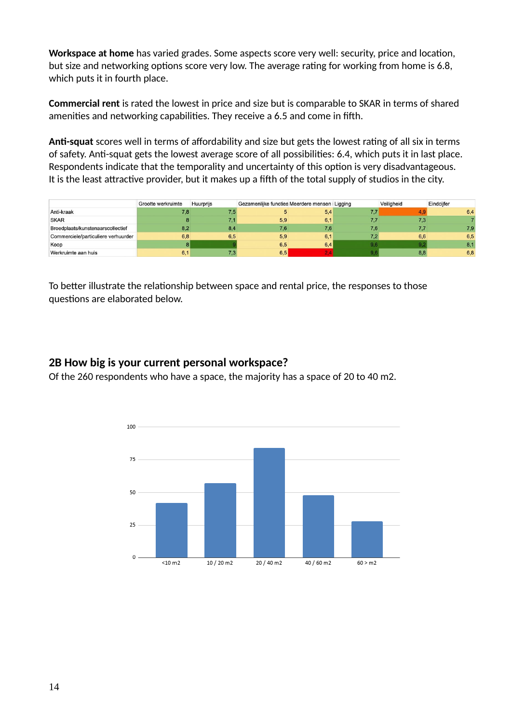**Workspace at home** has varied grades. Some aspects score very well: security, price and location, but size and networking options score very low. The average rating for working from home is 6.8, which puts it in fourth place.

**Commercial rent** is rated the lowest in price and size but is comparable to SKAR in terms of shared amenities and networking capabilities. They receive a 6.5 and come in fifth.

**Anti-squat** scores well in terms of affordability and size but gets the lowest rating of all six in terms of safety. Anti-squat gets the lowest average score of all possibilities: 6.4, which puts it in last place. Respondents indicate that the temporality and uncertainty of this option is very disadvantageous. It is the least attractive provider, but it makes up a fifth of the total supply of studios in the city.

|                                     | Grootte werkruimte | Huurpriis | Gezamenlijke functies Meerdere mensen Ligging |     |     | Veiligheid | Eindciifer |
|-------------------------------------|--------------------|-----------|-----------------------------------------------|-----|-----|------------|------------|
| Anti-kraak                          | 7,8                | 7.5       |                                               | 5,4 |     |            | 6,4        |
| <b>SKAR</b>                         |                    | 74        | 5,9                                           | 6,1 |     | 7,3        |            |
| Broedplaats/kunstenaarscollectief   | 8.2                | 8,4       | 7.6                                           | 7.6 | 7.6 | 7.7        | 7,9        |
| Commerciele/particuliere verhuurder | 6.8                | 6,5       | 5,9                                           | 6.1 |     | 6.6        | 6,5        |
| Koop                                |                    |           | 6,5                                           | 6,4 |     |            | 8,1        |
| Werkruimte aan huis                 | 6.1                | 7.3       | 6.5                                           |     |     | 8.8        | 6,8        |

To better illustrate the relationship between space and rental price, the responses to those questions are elaborated below.

#### **2B How big is your current personal workspace?**

Of the 260 respondents who have a space, the majority has a space of 20 to 40 m2.

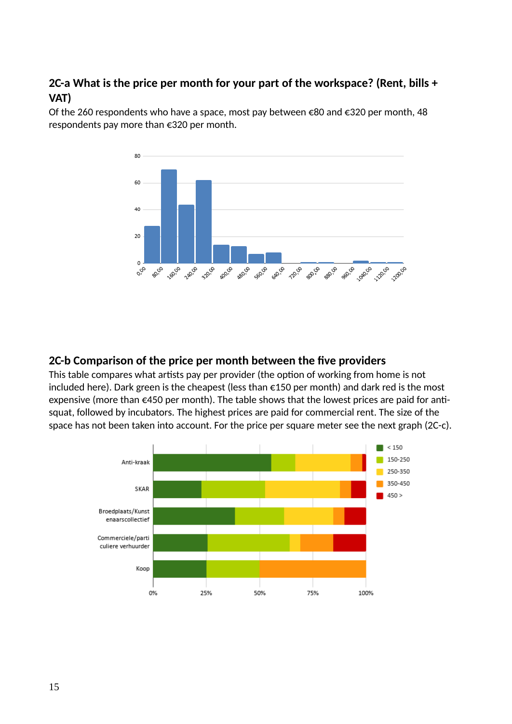#### **2C-a What is the price per month for your part of the workspace? (Rent, bills + VAT)**

Of the 260 respondents who have a space, most pay between €80 and €320 per month, 48 respondents pay more than €320 per month.



#### **2C-b Comparison of the price per month between the five providers**

This table compares what artists pay per provider (the option of working from home is not included here). Dark green is the cheapest (less than €150 per month) and dark red is the most expensive (more than €450 per month). The table shows that the lowest prices are paid for antisquat, followed by incubators. The highest prices are paid for commercial rent. The size of the space has not been taken into account. For the price per square meter see the next graph (2C-c).

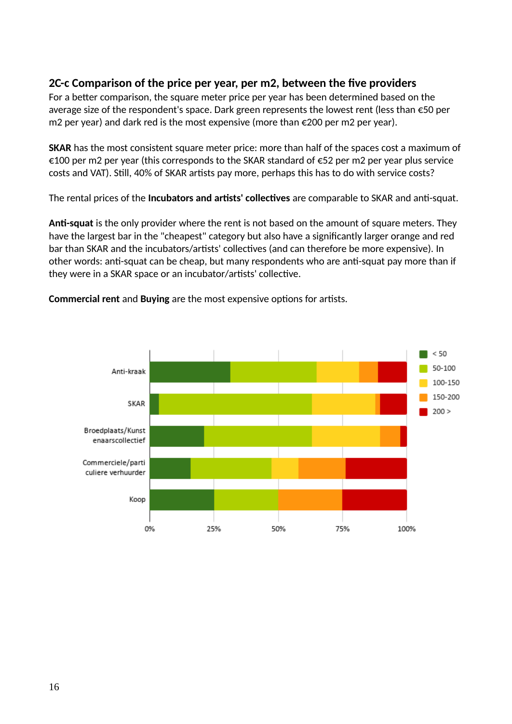#### **2C-c Comparison of the price per year, per m2, between the five providers**

For a better comparison, the square meter price per year has been determined based on the average size of the respondent's space. Dark green represents the lowest rent (less than €50 per m2 per year) and dark red is the most expensive (more than €200 per m2 per year).

**SKAR** has the most consistent square meter price: more than half of the spaces cost a maximum of  $€100$  per m2 per year (this corresponds to the SKAR standard of  $€52$  per m2 per year plus service costs and VAT). Still, 40% of SKAR artists pay more, perhaps this has to do with service costs?

The rental prices of the **Incubators and artists' collectives** are comparable to SKAR and anti-squat.

**Anti-squat** is the only provider where the rent is not based on the amount of square meters. They have the largest bar in the "cheapest" category but also have a significantly larger orange and red bar than SKAR and the incubators/artists' collectives (and can therefore be more expensive). In other words: anti-squat can be cheap, but many respondents who are anti-squat pay more than if they were in a SKAR space or an incubator/artists' collective.

 $< 50$ 50-100 Anti-kraak 100-150 150-200 SKAR  $200 >$ Broedplaats/Kunst enaarscollectief Commerciele/parti culiere verhuurder Koop 0% 25% 50% 75% 100%

**Commercial rent** and **Buying** are the most expensive options for artists.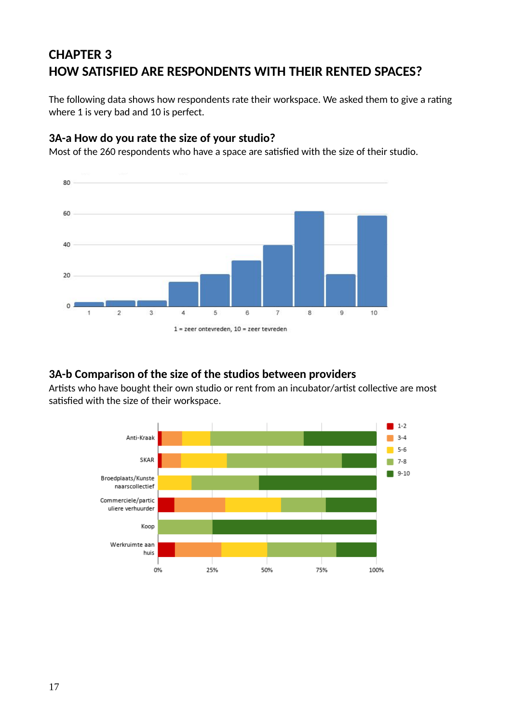# **CHAPTER 3 HOW SATISFIED ARE RESPONDENTS WITH THEIR RENTED SPACES?**

The following data shows how respondents rate their workspace. We asked them to give a rating where 1 is very bad and 10 is perfect.

#### **3A-a How do you rate the size of your studio?**

Most of the 260 respondents who have a space are satisfied with the size of their studio.



#### **3A-b Comparison of the size of the studios between providers**

Artists who have bought their own studio or rent from an incubator/artist collective are most satisfied with the size of their workspace.

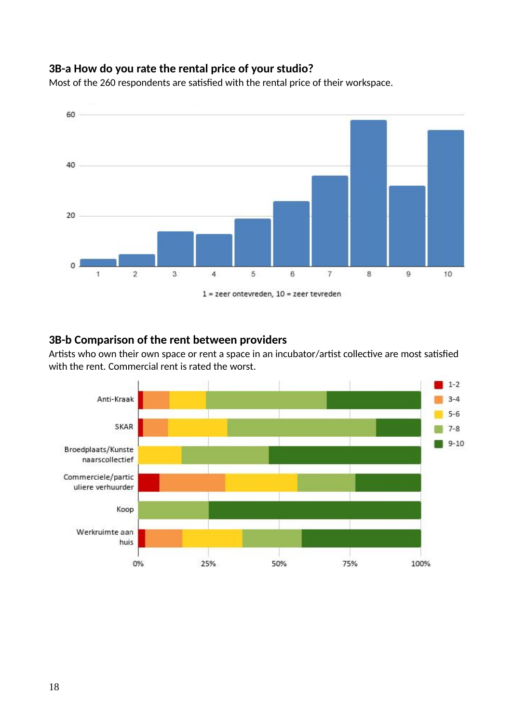#### **3B-a How do you rate the rental price of your studio?**

Most of the 260 respondents are satisfied with the rental price of their workspace.



#### **3B-b Comparison of the rent between providers**

Artists who own their own space or rent a space in an incubator/artist collective are most satisfied with the rent. Commercial rent is rated the worst.

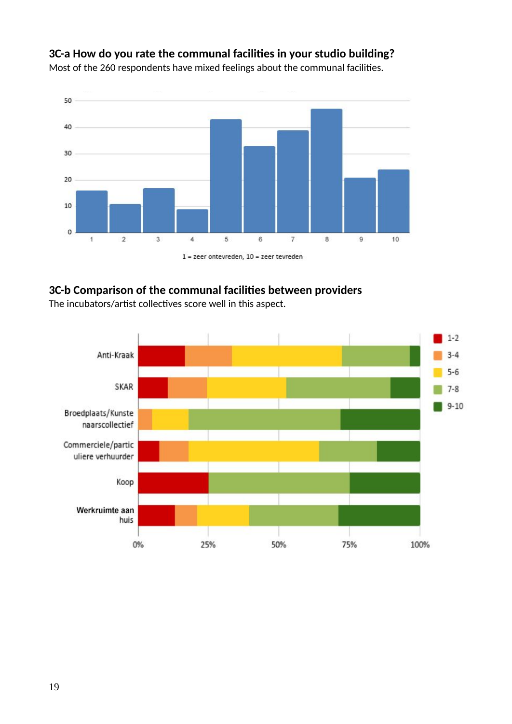

#### **3C-a How do you rate the communal facilities in your studio building?**

Most of the 260 respondents have mixed feelings about the communal facilities.

 $1$  = zeer ontevreden,  $10$  = zeer tevreden

#### **3C-b Comparison of the communal facilities between providers**

The incubators/artist collectives score well in this aspect.

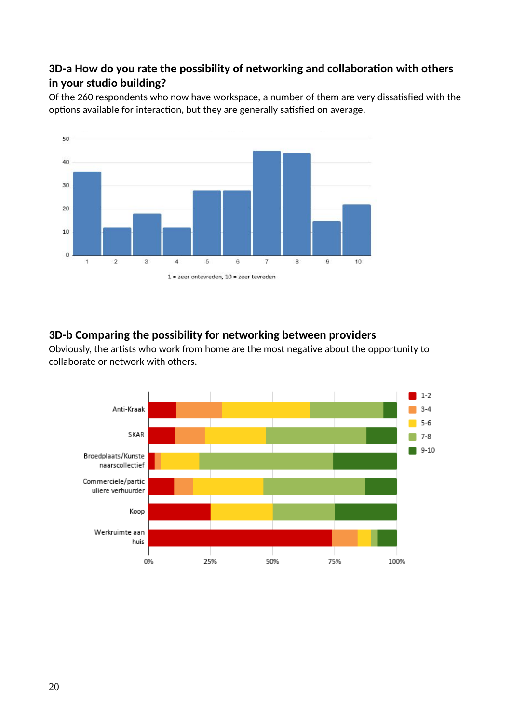#### **3D-a How do you rate the possibility of networking and collaboration with others in your studio building?**

Of the 260 respondents who now have workspace, a number of them are very dissatisfied with the options available for interaction, but they are generally satisfied on average.



#### **3D-b Comparing the possibility for networking between providers**

Obviously, the artists who work from home are the most negative about the opportunity to collaborate or network with others.

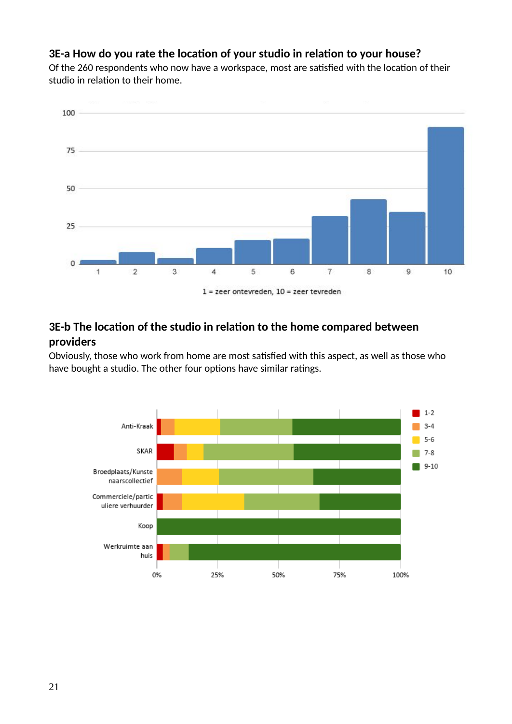#### **3E-a How do you rate the location of your studio in relation to your house?**

Of the 260 respondents who now have a workspace, most are satisfied with the location of their studio in relation to their home.



#### **3E-b The location of the studio in relation to the home compared between providers**

Obviously, those who work from home are most satisfied with this aspect, as well as those who have bought a studio. The other four options have similar ratings.

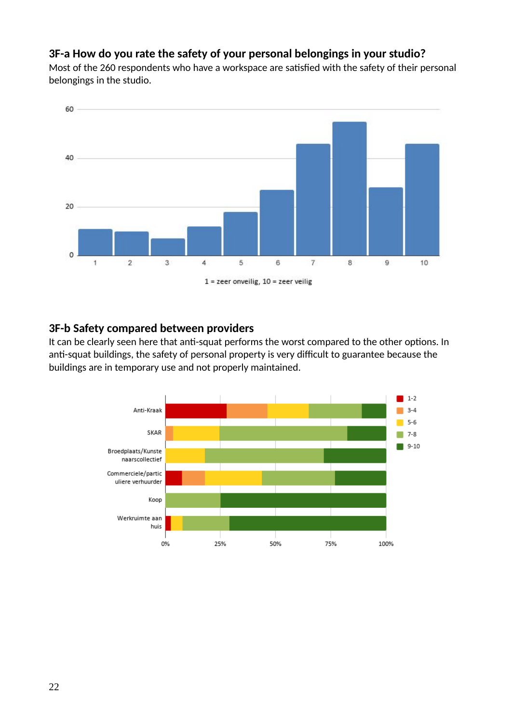#### **3F-a How do you rate the safety of your personal belongings in your studio?**

Most of the 260 respondents who have a workspace are satisfied with the safety of their personal belongings in the studio.



#### **3F-b Safety compared between providers**

It can be clearly seen here that anti-squat performs the worst compared to the other options. In anti-squat buildings, the safety of personal property is very difficult to guarantee because the buildings are in temporary use and not properly maintained.

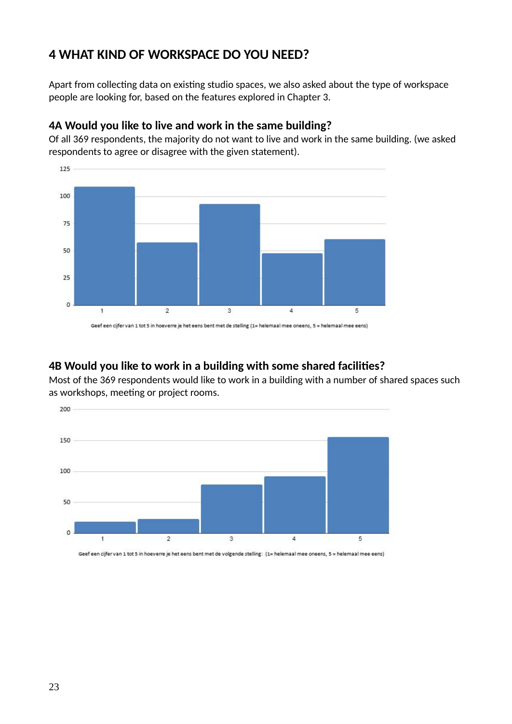## **4 WHAT KIND OF WORKSPACE DO YOU NEED?**

Apart from collecting data on existing studio spaces, we also asked about the type of workspace people are looking for, based on the features explored in Chapter 3.



#### **4A Would you like to live and work in the same building?**

Of all 369 respondents, the majority do not want to live and work in the same building. (we asked respondents to agree or disagree with the given statement).

#### **4B Would you like to work in a building with some shared facilities?**

Most of the 369 respondents would like to work in a building with a number of shared spaces such as workshops, meeting or project rooms.



Geef een cijfer van 1 tot 5 in hoeverre je het eens bent met de volgende stelling: (1= helemaal mee oneens, 5 = helemaal mee eens)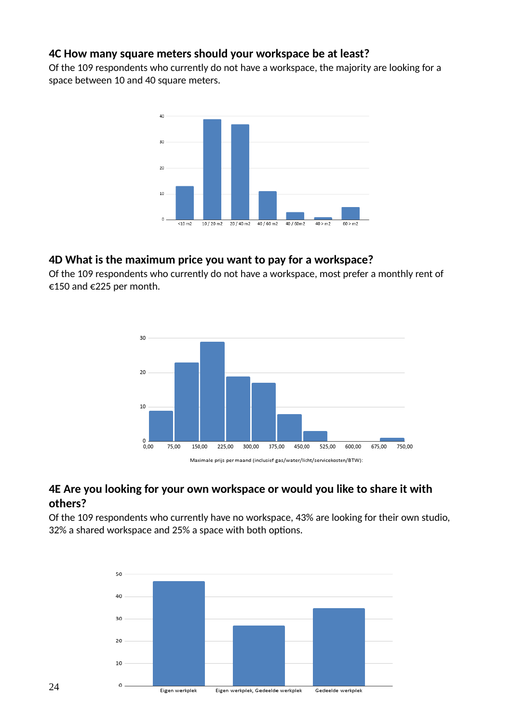#### **4C How many square meters should your workspace be at least?**

Of the 109 respondents who currently do not have a workspace, the majority are looking for a space between 10 and 40 square meters.



#### **4D What is the maximum price you want to pay for a workspace?**

Of the 109 respondents who currently do not have a workspace, most prefer a monthly rent of €150 and €225 per month.



#### **4E Are you looking for your own workspace or would you like to share it with others?**

Of the 109 respondents who currently have no workspace, 43% are looking for their own studio, 32% a shared workspace and 25% a space with both options.

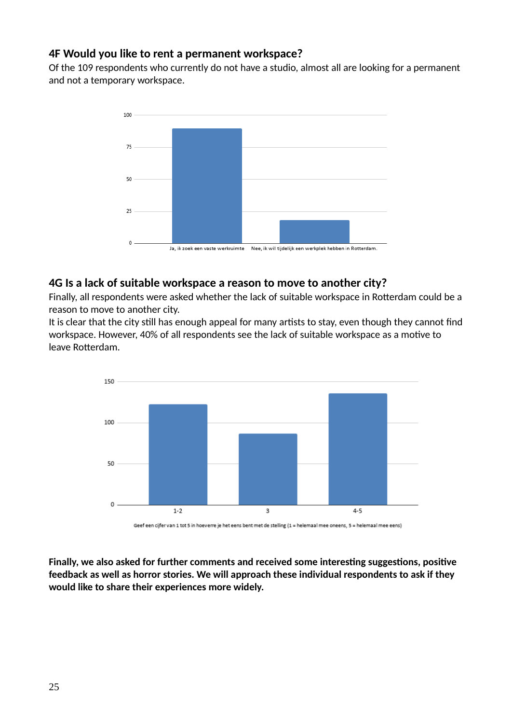#### **4F Would you like to rent a permanent workspace?**

Of the 109 respondents who currently do not have a studio, almost all are looking for a permanent and not a temporary workspace.



#### **4G Is a lack of suitable workspace a reason to move to another city?**

Finally, all respondents were asked whether the lack of suitable workspace in Rotterdam could be a reason to move to another city.

It is clear that the city still has enough appeal for many artists to stay, even though they cannot find workspace. However, 40% of all respondents see the lack of suitable workspace as a motive to leave Rotterdam.



Geef een cijfer van 1 tot 5 in hoeverre je het eens bent met de stelling (1 = helemaal mee oneens, 5 = helemaal mee eens)

**Finally, we also asked for further comments and received some interesting suggestions, positive feedback as well as horror stories. We will approach these individual respondents to ask if they would like to share their experiences more widely.**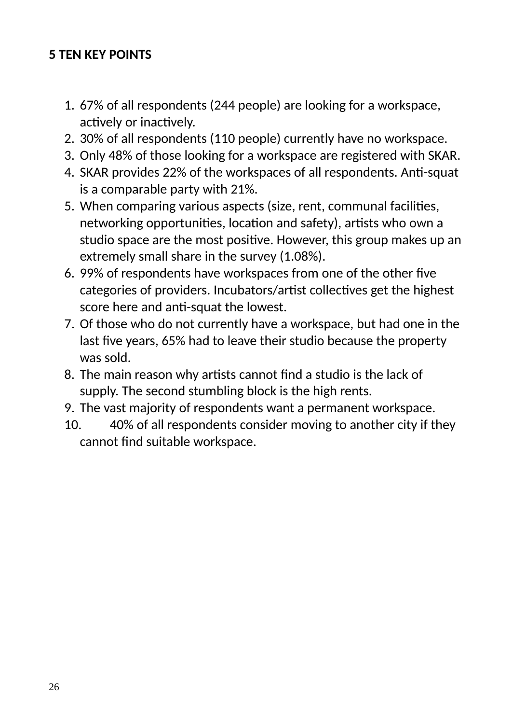# **5 TEN KEY POINTS**

- 1. 67% of all respondents (244 people) are looking for a workspace, actively or inactively.
- 2. 30% of all respondents (110 people) currently have no workspace.
- 3. Only 48% of those looking for a workspace are registered with SKAR.
- 4. SKAR provides 22% of the workspaces of all respondents. Anti-squat is a comparable party with 21%.
- 5. When comparing various aspects (size, rent, communal facilities, networking opportunities, location and safety), artists who own a studio space are the most positive. However, this group makes up an extremely small share in the survey (1.08%).
- 6. 99% of respondents have workspaces from one of the other five categories of providers. Incubators/artist collectives get the highest score here and anti-squat the lowest.
- 7. Of those who do not currently have a workspace, but had one in the last five years, 65% had to leave their studio because the property was sold.
- 8. The main reason why artists cannot find a studio is the lack of supply. The second stumbling block is the high rents.
- 9. The vast majority of respondents want a permanent workspace.
- 10. 40% of all respondents consider moving to another city if they cannot find suitable workspace.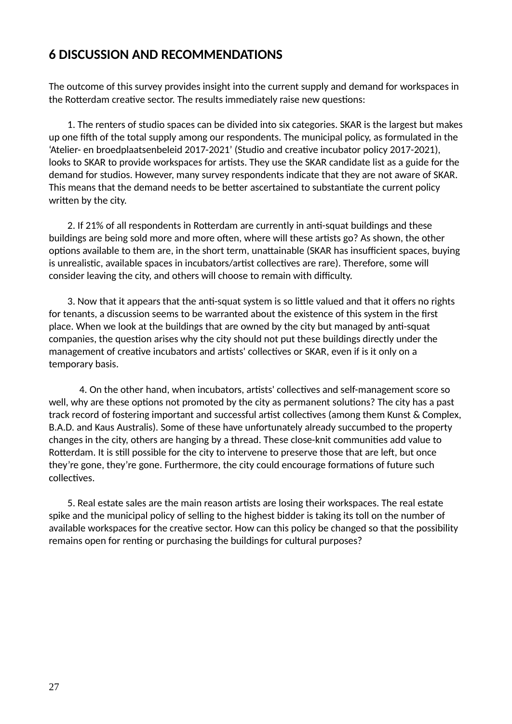## **6 DISCUSSION AND RECOMMENDATIONS**

The outcome of this survey provides insight into the current supply and demand for workspaces in the Rotterdam creative sector. The results immediately raise new questions:

 1. The renters of studio spaces can be divided into six categories. SKAR is the largest but makes up one fifth of the total supply among our respondents. The municipal policy, as formulated in the 'Atelier- en broedplaatsenbeleid 2017-2021' (Studio and creative incubator policy 2017-2021), looks to SKAR to provide workspaces for artists. They use the SKAR candidate list as a guide for the demand for studios. However, many survey respondents indicate that they are not aware of SKAR. This means that the demand needs to be better ascertained to substantiate the current policy written by the city.

 2. If 21% of all respondents in Rotterdam are currently in anti-squat buildings and these buildings are being sold more and more often, where will these artists go? As shown, the other options available to them are, in the short term, unattainable (SKAR has insufficient spaces, buying is unrealistic, available spaces in incubators/artist collectives are rare). Therefore, some will consider leaving the city, and others will choose to remain with difficulty.

 3. Now that it appears that the anti-squat system is so little valued and that it offers no rights for tenants, a discussion seems to be warranted about the existence of this system in the first place. When we look at the buildings that are owned by the city but managed by anti-squat companies, the question arises why the city should not put these buildings directly under the management of creative incubators and artists' collectives or SKAR, even if is it only on a temporary basis.

4. On the other hand, when incubators, artists' collectives and self-management score so well, why are these options not promoted by the city as permanent solutions? The city has a past track record of fostering important and successful artist collectives (among them Kunst & Complex, B.A.D. and Kaus Australis). Some of these have unfortunately already succumbed to the property changes in the city, others are hanging by a thread. These close-knit communities add value to Rotterdam. It is still possible for the city to intervene to preserve those that are left, but once they're gone, they're gone. Furthermore, the city could encourage formations of future such collectives.

 5. Real estate sales are the main reason artists are losing their workspaces. The real estate spike and the municipal policy of selling to the highest bidder is taking its toll on the number of available workspaces for the creative sector. How can this policy be changed so that the possibility remains open for renting or purchasing the buildings for cultural purposes?